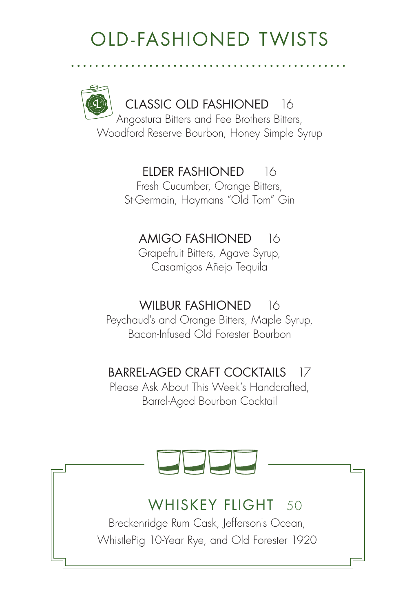## OLD-FASHIONED TWISTS

CLASSIC OLD FASHIONED 16 Angostura Bitters and Fee Brothers Bitters, Woodford Reserve Bourbon, Honey Simple Syrup

## ELDER FASHIONED 16

Fresh Cucumber, Orange Bitters, St-Germain, Haymans "Old Tom" Gin

## AMIGO FASHIONED 16

Grapefruit Bitters, Agave Syrup, Casamigos Añejo Tequila

### WILBUR FASHIONED 16

Peychaud's and Orange Bitters, Maple Syrup, Bacon-Infused Old Forester Bourbon

## BARREL-AGED CRAFT COCKTAILS 17

Please Ask About This Week's Handcrafted, Barrel-Aged Bourbon Cocktail

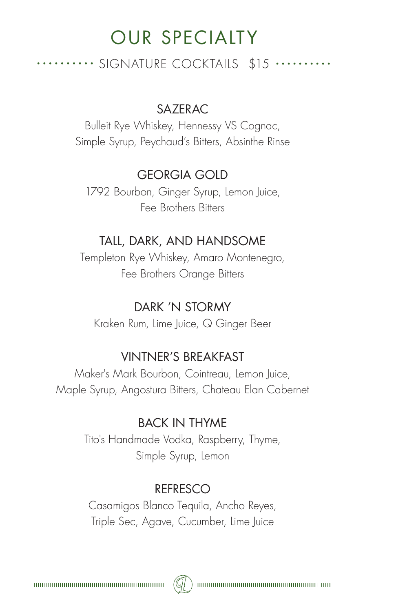## OUR SPECIALTY

.......... SIGNATURE COCKTAILS \$15 .........

#### SAZERAC

Bulleit Rye Whiskey, Hennessy VS Cognac, Simple Syrup, Peychaud's Bitters, Absinthe Rinse

#### GEORGIA GOLD

1792 Bourbon, Ginger Syrup, Lemon Juice, Fee Brothers Bitters

#### TALL, DARK, AND HANDSOME

Templeton Rye Whiskey, Amaro Montenegro, Fee Brothers Orange Bitters

#### DARK 'N STORMY

Kraken Rum, Lime Juice, Q Ginger Beer

#### VINTNER'S BREAKFAST

Maker's Mark Bourbon, Cointreau, Lemon Juice, Maple Syrup, Angostura Bitters, Chateau Elan Cabernet

### BACK IN THYME

Tito's Handmade Vodka, Raspberry, Thyme, Simple Syrup, Lemon

#### REFRESCO

Casamigos Blanco Tequila, Ancho Reyes, Triple Sec, Agave, Cucumber, Lime Juice

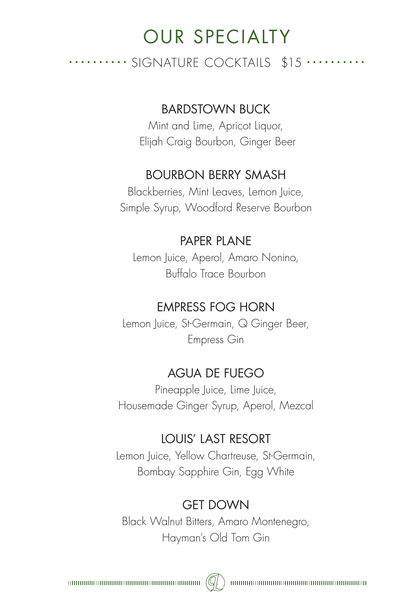## OUR SPECIALTY

.......... SIGNATURE COCKTAILS \$15 ..........

#### BARDSTOWN BUCK

Mint and Lime, Apricot Liquor, Elijah Craig Bourbon, Ginger Beer

#### BOURBON BERRY SMASH

Blackberries, Mint Leaves, Lemon Juice, Simple Syrup, Woodford Reserve Bourbon

#### PAPER PLANE

Lemon Juice, Aperol, Amaro Nonino, Buffalo Trace Bourbon

#### EMPRESS FOG HORN

Lemon Juice, St-Germain, Q Ginger Beer, Empress Gin

#### AGUA DE FUEGO

Pineapple Juice, Lime Juice, Housemade Ginger Syrup, Aperol, Mezcal

#### LOUIS' LAST RESORT

Lemon Juice, Yellow Chartreuse, St-Germain, Bombay Sapphire Gin, Egg White

#### GET DOWN

Black Walnut Bitters, Amaro Montenegro, Hayman's Old Tom Gin

 $(Q)$ 

 $\begin{minipage}{0.9\linewidth} \begin{tabular}{|l|l|l|} \hline \textbf{untrivial} & \textbf{untrivial} & \textbf{untrivial} \\ \hline \textbf{untrivial} & \textbf{untrivial} & \textbf{untrivial} \\ \hline \textbf{untrivial} & \textbf{untrivial} & \textbf{untrivial} \\ \hline \end{tabular} \end{minipage}$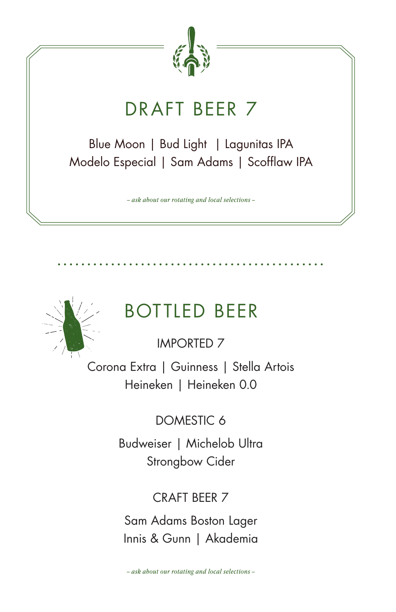

## DRAFT BEER 7

Blue Moon | Bud Light | Lagunitas IPA Modelo Especial | Sam Adams | Scofflaw IPA

*– ask about our rotating and local selections –*



## BOTTLED BEER

IMPORTED 7

Corona Extra | Guinness | Stella Artois Heineken | Heineken 0.0

DOMESTIC 6

Budweiser | Michelob Ultra Strongbow Cider

## CRAFT BEER 7

Sam Adams Boston Lager Innis & Gunn | Akademia

*– ask about our rotating and local selections –*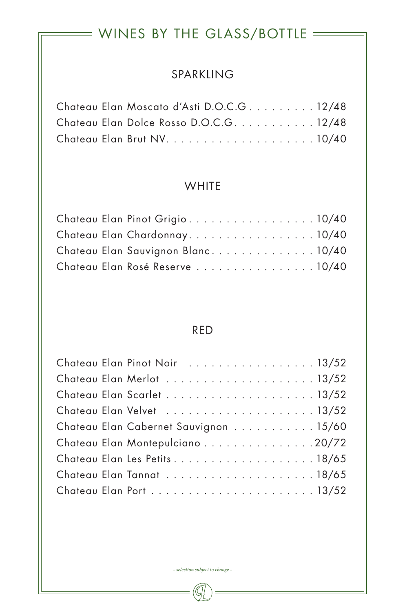## $=$  WINES BY THE GLASS/BOTTLE  $=$

#### SPARKLING

|  | Chateau Elan Moscato d'Asti D.O.C.G12/48 |  |
|--|------------------------------------------|--|
|  | Chateau Elan Dolce Rosso D.O.C.G. 12/48  |  |
|  |                                          |  |

#### **WHITE**

|  | Chateau Elan Pinot Grigio10/40     |  |
|--|------------------------------------|--|
|  | Chateau Elan Chardonnay. 10/40     |  |
|  | Chateau Elan Sauvignon Blanc 10/40 |  |
|  | Chateau Elan Rosé Reserve 10/40    |  |

#### RED

| Chateau Elan Pinot Noir  13/52        |  |  |  |  |  |  |  |  |  |
|---------------------------------------|--|--|--|--|--|--|--|--|--|
|                                       |  |  |  |  |  |  |  |  |  |
|                                       |  |  |  |  |  |  |  |  |  |
|                                       |  |  |  |  |  |  |  |  |  |
| Chateau Elan Cabernet Sauvignon 15/60 |  |  |  |  |  |  |  |  |  |
| Chateau Elan Montepulciano 20/72      |  |  |  |  |  |  |  |  |  |
| Chateau Elan Les Petits18/65          |  |  |  |  |  |  |  |  |  |
|                                       |  |  |  |  |  |  |  |  |  |
|                                       |  |  |  |  |  |  |  |  |  |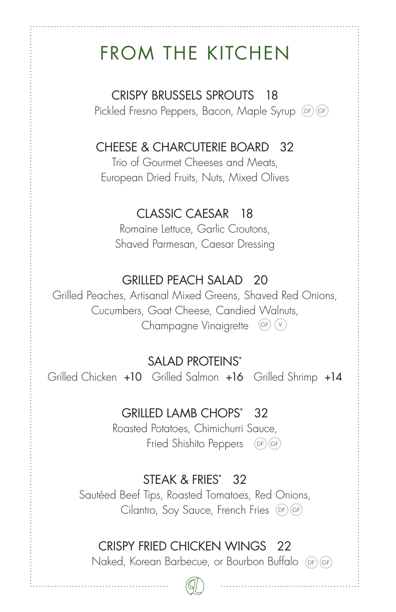## FROM THE KITCHEN

CRISPY BRUSSELS SPROUTS 18

Pickled Fresno Peppers, Bacon, Maple Syrup DF GF

## CHEESE & CHARCUTERIE BOARD 32

Trio of Gourmet Cheeses and Meats, European Dried Fruits, Nuts, Mixed Olives

### CLASSIC CAESAR 18

Romaine Lettuce, Garlic Croutons, Shaved Parmesan, Caesar Dressing

### GRILLED PEACH SALAD 20

Grilled Peaches, Artisanal Mixed Greens, Shaved Red Onions, Cucumbers, Goat Cheese, Candied Walnuts, Champagne Vinaigrette (GF) (v

## SALAD PROTEINS\*

Grilled Chicken +10 Grilled Salmon +16 Grilled Shrimp +14

#### GRILLED LAMB CHOPS\* 32

Roasted Potatoes, Chimichurri Sauce, Fried Shishito Peppers  $(DF)(GF)$ 

### STEAK & FRIES\* 32

Sautéed Beef Tips, Roasted Tomatoes, Red Onions, Cilantro, Soy Sauce, French Fries DF GF

## CRISPY FRIED CHICKEN WINGS 22

Naked, Korean Barbecue, or Bourbon Buffalo DF GF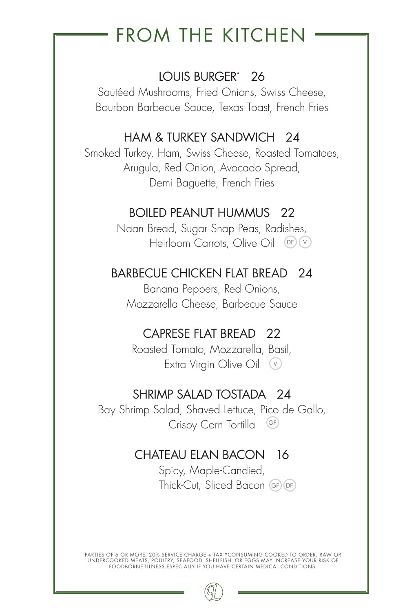## FROM THE KITCHEN

## LOUIS BURGER\* 26

Sautéed Mushrooms, Fried Onions, Swiss Cheese, Bourbon Barbecue Sauce, Texas Toast, French Fries

## HAM & TURKEY SANDWICH 24

Smoked Turkey, Ham, Swiss Cheese, Roasted Tomatoes, Arugula, Red Onion, Avocado Spread, Demi Baguette, French Fries

### BOILED PEANUT HUMMUS 22

Naan Bread, Sugar Snap Peas, Radishes, Heirloom Carrots, Olive Oil (DF) (V

### BARBECUE CHICKEN FLAT BREAD 24

Banana Peppers, Red Onions, Mozzarella Cheese, Barbecue Sauce

### CAPRESE FLAT BREAD 22

Roasted Tomato, Mozzarella, Basil, Extra Virgin Olive Oil V

#### SHRIMP SALAD TOSTADA 24

Bay Shrimp Salad, Shaved Lettuce, Pico de Gallo, Crispy Corn Tortilla GF

## CHATEAU ELAN BACON 16

Spicy, Maple-Candied, Thick-Cut, Sliced Bacon GF DF

PARTIES OF 6 OR MORE, 20% SERVICE CHARGE + TAX \*CONSUMING COOKED TO ORDER, RAW OR UNDERCOOKED MEATS, POULTRY, SEAFOOD, SHELLFISH, OR EGGS MAY INCREASE YOUR RISK OF FOODBORNE ILLNESS.ESPECIALLY IF YOU HAVE CERTAIN MEDICAL CONDITIONS.

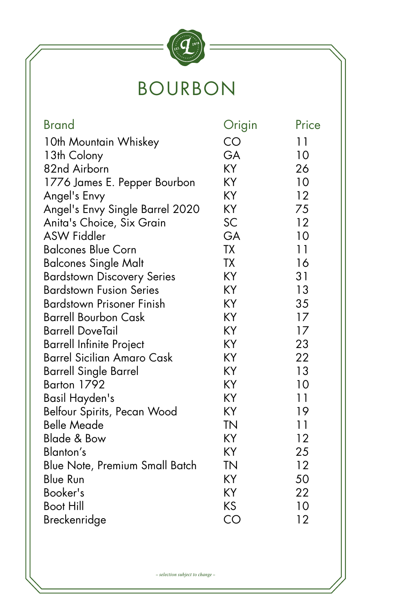

## BOURBON

| <b>Brand</b>                      | Origin    | Price |
|-----------------------------------|-----------|-------|
| 10th Mountain Whiskey             | CO        | 11    |
| 13th Colony                       | GA        | 10    |
| 82nd Airborn                      | KY        | 26    |
| 1776 James E. Pepper Bourbon      | KY        | 10    |
| Angel's Envy                      | KY        | 12    |
| Angel's Envy Single Barrel 2020   | KY        | 75    |
| Anita's Choice, Six Grain         | SC        | 12    |
| <b>ASW Fiddler</b>                | GA        | 10    |
| <b>Balcones Blue Corn</b>         | TΧ        | 11    |
| <b>Balcones Single Malt</b>       | <b>TX</b> | 16    |
| <b>Bardstown Discovery Series</b> | KY        | 31    |
| <b>Bardstown Fusion Series</b>    | KY        | 13    |
| <b>Bardstown Prisoner Finish</b>  | KY        | 35    |
| Barrell Bourbon Cask              | KY        | 17    |
| <b>Barrell DoveTail</b>           | KY        | 17    |
| <b>Barrell Infinite Project</b>   | KY        | 23    |
| <b>Barrel Sicilian Amaro Cask</b> | KY        | 22    |
| <b>Barrell Single Barrel</b>      | KY        | 13    |
| Barton 1792                       | KY        | 10    |
| Basil Hayden's                    | KY        | 11    |
| Belfour Spirits, Pecan Wood       | KY        | 19    |
| <b>Belle Meade</b>                | <b>TN</b> | 11    |
| Blade & Bow                       | KY        | 12    |
| Blanton's                         | KY        | 25    |
| Blue Note, Premium Small Batch    | <b>TN</b> | 12    |
| Blue Run                          | KY        | 50    |
| Booker's                          | ΚY        | 22    |
| Boot Hill                         | ΚS        | 10    |
| Breckenridge                      | CO        | 12    |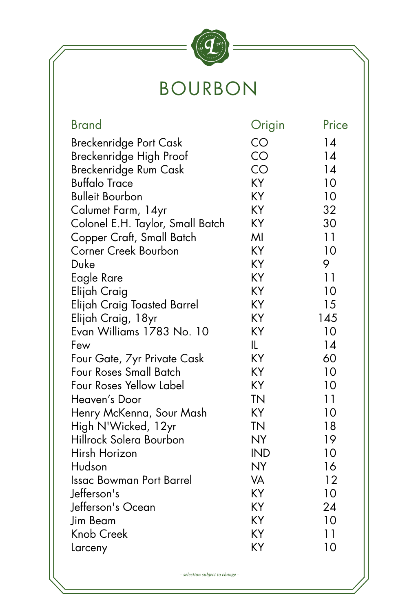

## BOURBON

| <b>Brand</b>                     | Origin     | Price |
|----------------------------------|------------|-------|
| Breckenridge Port Cask           | CO         | 14    |
| Breckenridge High Proof          | CO         | 14    |
| Breckenridge Rum Cask            | CO         | 14    |
| <b>Buffalo Trace</b>             | KY         | 10    |
| <b>Bulleit Bourbon</b>           | KY         | 10    |
| Calumet Farm, 14yr               | KΥ         | 32    |
| Colonel E.H. Taylor, Small Batch | KY         | 30    |
| Copper Craft, Small Batch        | MI         | 11    |
| <b>Corner Creek Bourbon</b>      | KY         | 10    |
| Duke                             | KY         | 9     |
| Eagle Rare                       | KY         | 11    |
| Elijah Craig                     | KY         | 10    |
| Elijah Craig Toasted Barrel      | KY         | 15    |
| Elijah Craig, 18yr               | KY         | 145   |
| Evan Williams 1783 No. 10        | KY         | 10    |
| Few                              | IL         | 14    |
| Four Gate, 7yr Private Cask      | KY         | 60    |
| Four Roses Small Batch           | KY         | 10    |
| Four Roses Yellow Label          | KY         | 10    |
| Heaven's Door                    | <b>TN</b>  | 11    |
| Henry McKenna, Sour Mash         | KY         | 10    |
| High N'Wicked, 12yr              | <b>TN</b>  | 18    |
| Hillrock Solera Bourbon          | <b>NY</b>  | 19    |
| Hirsh Horizon                    | <b>IND</b> | 10    |
| Hudson                           | <b>NY</b>  | 16    |
| <b>Issac Bowman Port Barrel</b>  | VA         | 12    |
| Jefferson's                      | KY         | 10    |
| Jefferson's Ocean                | KY         | 24    |
| Jim Beam                         | KY         | 10    |
| Knob Creek                       | KY         | 11    |
| Larceny                          | KY         | 10    |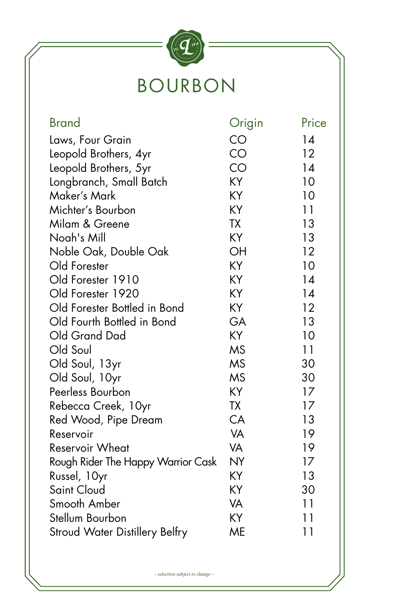# $\boldsymbol{q}$  is the set of  $\boldsymbol{q}$ BOURBON

| <b>Brand</b>                       | Origin    | Price |
|------------------------------------|-----------|-------|
| Laws, Four Grain                   | CO        | 14    |
| Leopold Brothers, 4yr              | CO        | 12    |
| Leopold Brothers, 5yr              | CO        | 14    |
| Longbranch, Small Batch            | KY        | 10    |
| Maker's Mark                       | KY        | 10    |
| Michter's Bourbon                  | KY        | 11    |
| Milam & Greene                     | <b>TX</b> | 13    |
| Noah's Mill                        | KY        | 13    |
| Noble Oak, Double Oak              | OH        | 12    |
| Old Forester                       | KY        | 10    |
| Old Forester 1910                  | KY        | 14    |
| Old Forester 1920                  | KY        | 14    |
| Old Forester Bottled in Bond       | KY        | 12    |
| Old Fourth Bottled in Bond         | GA        | 13    |
| Old Grand Dad                      | KY        | 10    |
| Old Soul                           | <b>MS</b> | 11    |
| Old Soul, 13yr                     | <b>MS</b> | 30    |
| Old Soul, 10yr                     | <b>MS</b> | 30    |
| Peerless Bourbon                   | KY        | 17    |
| Rebecca Creek, 10yr                | <b>TX</b> | 17    |
| Red Wood, Pipe Dream               | CA        | 13    |
| Reservoir                          | VA        | 19    |
| <b>Reservoir Wheat</b>             | VA        | 19    |
| Rough Rider The Happy Warrior Cask | <b>NY</b> | 17    |
| Russel, 10yr                       | KY        | 13    |
| Saint Cloud                        | KY        | 30    |
| Smooth Amber                       | VA        | 11    |
| Stellum Bourbon                    | KY        | 11    |
| Stroud Water Distillery Belfry     | ME        | 11    |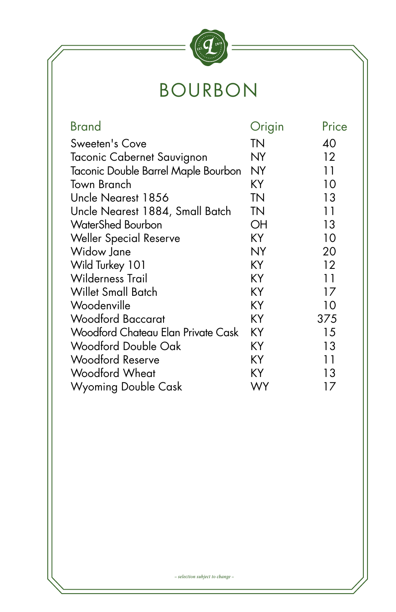

## BOURBON

| <b>Brand</b>                        | Origin    | Price             |
|-------------------------------------|-----------|-------------------|
| Sweeten's Cove                      | ΤN        | 40                |
| Taconic Cabernet Sauvignon          | NY        | $12 \overline{ }$ |
| Taconic Double Barrel Maple Bourbon | <b>NY</b> | 11                |
| Town Branch                         | KY        | 10                |
| Uncle Nearest 1856                  | <b>TN</b> | 13                |
| Uncle Nearest 1884, Small Batch     | <b>TN</b> | 11                |
| <b>WaterShed Bourbon</b>            | OH        | 13                |
| <b>Weller Special Reserve</b>       | KY        | 10                |
| Widow Jane                          | <b>NY</b> | 20                |
| Wild Turkey 101                     | KY        | 12                |
| <b>Wilderness Trail</b>             | KY        | 11                |
| Willet Small Batch                  | KY        | 17                |
| Woodenville                         | KY        | 10                |
| <b>Woodford Baccarat</b>            | KY        | 375               |
| Woodford Chateau Elan Private Cask  | KY        | 15                |
| <b>Woodford Double Oak</b>          | KY        | 13                |
| <b>Woodford Reserve</b>             | KY        | 11                |
| Woodford Wheat                      | ΚY        | 13                |
| Wyoming Double Cask                 | WY        | 17                |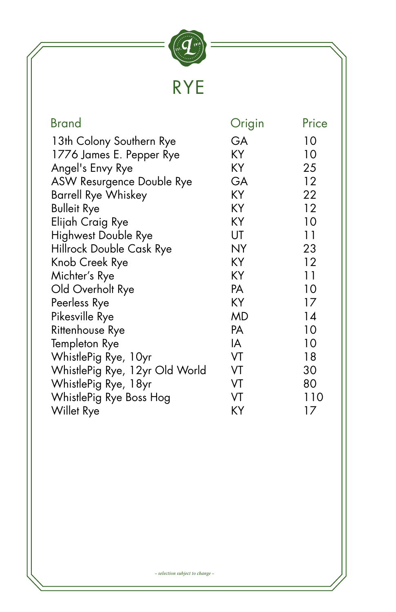

| <b>Brand</b>                   | Origin    | Price |
|--------------------------------|-----------|-------|
| 13th Colony Southern Rye       | GA        | 10    |
| 1776 James E. Pepper Rye       | KY        | 10    |
| Angel's Envy Rye               | KY        | 25    |
| ASW Resurgence Double Rye      | GA        | 12    |
| <b>Barrell Rye Whiskey</b>     | KY        | 22    |
| <b>Bulleit Rye</b>             | KY        | 12    |
| Elijah Craig Rye               | KY        | 10    |
| <b>Highwest Double Rye</b>     | UT        | 11    |
| Hillrock Double Cask Rye       | <b>NY</b> | 23    |
| Knob Creek Rye                 | KY        | 12    |
| Michter's Rye                  | KY        | 11    |
| Old Overholt Rye               | PA        | 10    |
| Peerless Rye                   | KY        | 17    |
| Pikesville Rye                 | <b>MD</b> | 14    |
|                                |           |       |
| Rittenhouse Rye                | PA        | 10    |
| Templeton Rye                  | IA        | 10    |
| WhistlePig Rye, 10yr           | VT        | 18    |
| WhistlePig Rye, 12yr Old World | VT        | 30    |
| WhistlePig Rye, 18yr           | VT        | 80    |
| WhistlePig Rye Boss Hog        | VT        | 110   |
| Willet Rye                     | ΚY        | 17    |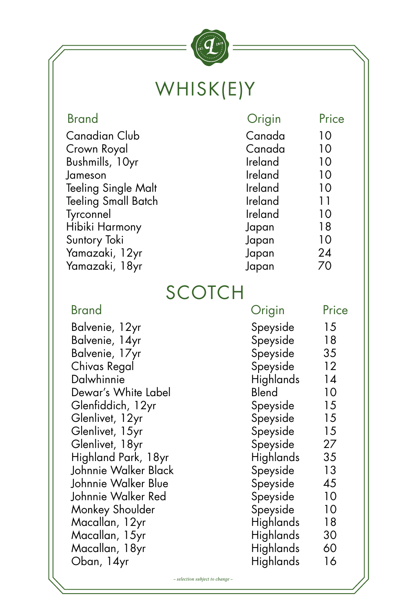

## WHISK(E)Y

| <b>Brand</b>               | Origin  | Price |
|----------------------------|---------|-------|
| Canadian Club              | Canada  | 10    |
| Crown Royal                | Canada  | 10    |
| Bushmills, 10yr            | Ireland | 10    |
| Jameson                    | Ireland | 10    |
| Teeling Single Malt        | Ireland | 10    |
| <b>Teeling Small Batch</b> | Ireland | 11    |
| Tyrconnel                  | Ireland | 10    |
| Hibiki Harmony             | Japan   | 18    |
| Suntory Toki               | Japan   | 10    |
| Yamazaki, 12yr             | Japan   | 24    |
| Yamazaki, 18yr             | Japan   | 70    |
|                            |         |       |

## SCOTCH

| <b>Brand</b>         | Origin           | Price |
|----------------------|------------------|-------|
| Balvenie, 12yr       | Speyside         | 15    |
| Balvenie, 14yr       | Speyside         | 18    |
| Balvenie, 17yr       | Speyside         | 35    |
| Chivas Regal         | Speyside         | 12    |
| Dalwhinnie           | Highlands        | 14    |
| Dewar's White Label  | Blend            | 10    |
| Glenfiddich, 12yr    | Speyside         | 15    |
| Glenlivet, 12yr      | Speyside         | 15    |
| Glenlivet, 15yr      | Speyside         | 15    |
| Glenlivet, 18yr      | Speyside         | 27    |
| Highland Park, 18yr  | Highlands        | 35    |
| Johnnie Walker Black | Speyside         | 13    |
| Johnnie Walker Blue  | Speyside         | 45    |
| Johnnie Walker Red   | Speyside         | 10    |
| Monkey Shoulder      | Speyside         | 10    |
| Macallan, 12yr       | Highlands        | 18    |
| Macallan, 15yr       | <b>Highlands</b> | 30    |
| Macallan, 18yr       | Highlands        | 60    |
| Oban, 14yr           | Highlands        | 16    |
|                      |                  |       |